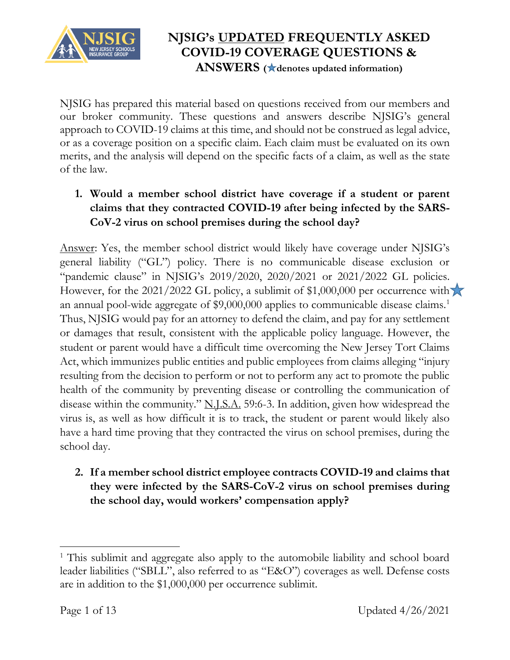

NJSIG has prepared this material based on questions received from our members and our broker community. These questions and answers describe NJSIG's general approach to COVID-19 claims at this time, and should not be construed as legal advice, or as a coverage position on a specific claim. Each claim must be evaluated on its own merits, and the analysis will depend on the specific facts of a claim, as well as the state of the law.

## **1. Would a member school district have coverage if a student or parent claims that they contracted COVID-19 after being infected by the SARS-CoV-2 virus on school premises during the school day?**

Answer: Yes, the member school district would likely have coverage under NJSIG's general liability ("GL") policy. There is no communicable disease exclusion or "pandemic clause" in NJSIG's 2019/2020, 2020/2021 or 2021/2022 GL policies. However, for the 2021/2022 GL policy, a sublimit of \$1,000,000 per occurrence with  $\blacktriangleright$ an annual pool-wide aggregate of \$9,000,000 applies to communicable disease claims.<sup>1</sup> Thus, NJSIG would pay for an attorney to defend the claim, and pay for any settlement or damages that result, consistent with the applicable policy language. However, the student or parent would have a difficult time overcoming the New Jersey Tort Claims Act, which immunizes public entities and public employees from claims alleging "injury resulting from the decision to perform or not to perform any act to promote the public health of the community by preventing disease or controlling the communication of disease within the community." N.J.S.A. 59:6-3. In addition, given how widespread the virus is, as well as how difficult it is to track, the student or parent would likely also have a hard time proving that they contracted the virus on school premises, during the school day.

**2. If a member school district employee contracts COVID-19 and claims that they were infected by the SARS-CoV-2 virus on school premises during the school day, would workers' compensation apply?**

 $\overline{\phantom{a}}$ 

<sup>&</sup>lt;sup>1</sup> This sublimit and aggregate also apply to the automobile liability and school board leader liabilities ("SBLL", also referred to as "E&O") coverages as well. Defense costs are in addition to the \$1,000,000 per occurrence sublimit.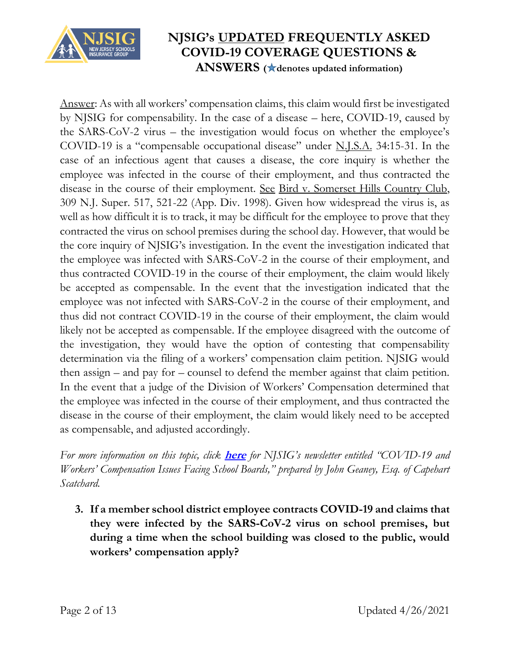

Answer: As with all workers' compensation claims, this claim would first be investigated by NJSIG for compensability. In the case of a disease – here, COVID-19, caused by the SARS-CoV-2 virus – the investigation would focus on whether the employee's COVID-19 is a "compensable occupational disease" under N.J.S.A. 34:15-31. In the case of an infectious agent that causes a disease, the core inquiry is whether the employee was infected in the course of their employment, and thus contracted the disease in the course of their employment. See Bird v. Somerset Hills Country Club, 309 N.J. Super. 517, 521-22 (App. Div. 1998). Given how widespread the virus is, as well as how difficult it is to track, it may be difficult for the employee to prove that they contracted the virus on school premises during the school day. However, that would be the core inquiry of NJSIG's investigation. In the event the investigation indicated that the employee was infected with SARS-CoV-2 in the course of their employment, and thus contracted COVID-19 in the course of their employment, the claim would likely be accepted as compensable. In the event that the investigation indicated that the employee was not infected with SARS-CoV-2 in the course of their employment, and thus did not contract COVID-19 in the course of their employment, the claim would likely not be accepted as compensable. If the employee disagreed with the outcome of the investigation, they would have the option of contesting that compensability determination via the filing of a workers' compensation claim petition. NJSIG would then assign – and pay for – counsel to defend the member against that claim petition. In the event that a judge of the Division of Workers' Compensation determined that the employee was infected in the course of their employment, and thus contracted the disease in the course of their employment, the claim would likely need to be accepted as compensable, and adjusted accordingly.

*For more information on this topic, click* **[here](https://www.njsig.org/downloads/covid-19/COVID-19_WC_Message_from_John%20Geaney_2020-04-06.pdf)** *for NJSIG's newsletter entitled "COVID-19 and Workers' Compensation Issues Facing School Boards," prepared by John Geaney, Esq. of Capehart Scatchard.* 

**3. If a member school district employee contracts COVID-19 and claims that they were infected by the SARS-CoV-2 virus on school premises, but during a time when the school building was closed to the public, would workers' compensation apply?**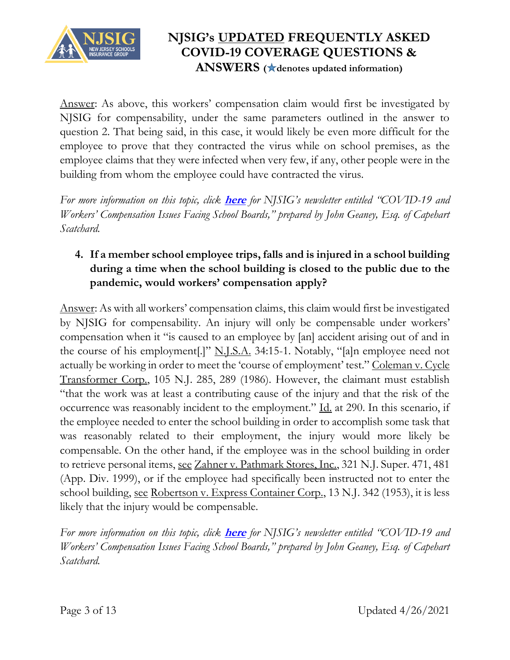

Answer: As above, this workers' compensation claim would first be investigated by NJSIG for compensability, under the same parameters outlined in the answer to question 2. That being said, in this case, it would likely be even more difficult for the employee to prove that they contracted the virus while on school premises, as the employee claims that they were infected when very few, if any, other people were in the building from whom the employee could have contracted the virus.

*For more information on this topic, click* **[here](https://www.njsig.org/downloads/covid-19/COVID-19%20And%20Workers%E2%80%99%20Compensation%20Issues%20Facing%20School%20Boards%20Message%20from%20John%20Geaney%205.13.20.pdf)** *for NJSIG's newsletter entitled "COVID-19 and Workers' Compensation Issues Facing School Boards," prepared by John Geaney, Esq. of Capehart Scatchard.*

## **4. If a member school employee trips, falls and is injured in a school building during a time when the school building is closed to the public due to the pandemic, would workers' compensation apply?**

Answer: As with all workers' compensation claims, this claim would first be investigated by NJSIG for compensability. An injury will only be compensable under workers' compensation when it "is caused to an employee by [an] accident arising out of and in the course of his employment[.]" N.J.S.A. 34:15-1. Notably, "[a]n employee need not actually be working in order to meet the 'course of employment' test." Coleman v. Cycle Transformer Corp., 105 N.J. 285, 289 (1986). However, the claimant must establish "that the work was at least a contributing cause of the injury and that the risk of the occurrence was reasonably incident to the employment." Id. at 290. In this scenario, if the employee needed to enter the school building in order to accomplish some task that was reasonably related to their employment, the injury would more likely be compensable. On the other hand, if the employee was in the school building in order to retrieve personal items, see Zahner v. Pathmark Stores, Inc., 321 N.J. Super. 471, 481 (App. Div. 1999), or if the employee had specifically been instructed not to enter the school building, see Robertson v. Express Container Corp., 13 N.J. 342 (1953), it is less likely that the injury would be compensable.

*For more information on this topic, click* **[here](https://www.njsig.org/downloads/covid-19/COVID-19%20And%20Workers%E2%80%99%20Compensation%20Issues%20Facing%20School%20Boards%20Message%20from%20John%20Geaney%205.13.20.pdf)** *for NJSIG's newsletter entitled "COVID-19 and Workers' Compensation Issues Facing School Boards," prepared by John Geaney, Esq. of Capehart Scatchard.*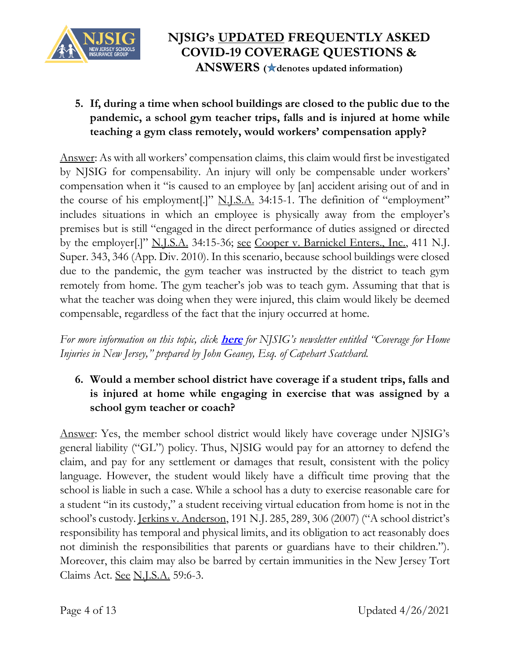

**5. If, during a time when school buildings are closed to the public due to the pandemic, a school gym teacher trips, falls and is injured at home while teaching a gym class remotely, would workers' compensation apply?** 

Answer: As with all workers' compensation claims, this claim would first be investigated by NJSIG for compensability. An injury will only be compensable under workers' compensation when it "is caused to an employee by [an] accident arising out of and in the course of his employment[.]" <u>N.J.S.A.</u> 34:15-1. The definition of "employment" includes situations in which an employee is physically away from the employer's premises but is still "engaged in the direct performance of duties assigned or directed by the employer<sup>[1]"</sup> N.J.S.A. 34:15-36; <u>see Cooper v. Barnickel Enters., Inc.</u>, 411 N.J. Super. 343, 346 (App. Div. 2010). In this scenario, because school buildings were closed due to the pandemic, the gym teacher was instructed by the district to teach gym remotely from home. The gym teacher's job was to teach gym. Assuming that that is what the teacher was doing when they were injured, this claim would likely be deemed compensable, regardless of the fact that the injury occurred at home.

*For more information on this topic, click* **[here](https://www.njsig.org/downloads/covid-19/COVID-19_WC_Message_from_John%20Geaney_2020-04-06.pdf)** *for NJSIG's newsletter entitled "Coverage for Home Injuries in New Jersey," prepared by John Geaney, Esq. of Capehart Scatchard.*

## **6. Would a member school district have coverage if a student trips, falls and is injured at home while engaging in exercise that was assigned by a school gym teacher or coach?**

Answer: Yes, the member school district would likely have coverage under NJSIG's general liability ("GL") policy. Thus, NJSIG would pay for an attorney to defend the claim, and pay for any settlement or damages that result, consistent with the policy language. However, the student would likely have a difficult time proving that the school is liable in such a case. While a school has a duty to exercise reasonable care for a student "in its custody," a student receiving virtual education from home is not in the school's custody. Jerkins v. Anderson, 191 N.J. 285, 289, 306 (2007) ("A school district's responsibility has temporal and physical limits, and its obligation to act reasonably does not diminish the responsibilities that parents or guardians have to their children."). Moreover, this claim may also be barred by certain immunities in the New Jersey Tort Claims Act. See N.J.S.A. 59:6-3.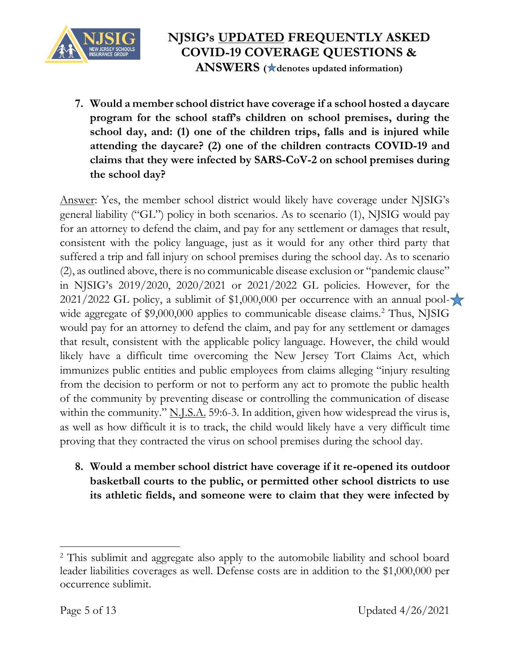

**7. Would a member school district have coverage if a school hosted a daycare program for the school staff's children on school premises, during the school day, and: (1) one of the children trips, falls and is injured while attending the daycare? (2) one of the children contracts COVID-19 and claims that they were infected by SARS-CoV-2 on school premises during the school day?**

Answer: Yes, the member school district would likely have coverage under NJSIG's general liability ("GL") policy in both scenarios. As to scenario (1), NJSIG would pay for an attorney to defend the claim, and pay for any settlement or damages that result, consistent with the policy language, just as it would for any other third party that suffered a trip and fall injury on school premises during the school day. As to scenario (2), as outlined above, there is no communicable disease exclusion or "pandemic clause" in NJSIG's 2019/2020, 2020/2021 or 2021/2022 GL policies. However, for the 2021/2022 GL policy, a sublimit of  $$1,000,000$  per occurrence with an annual pool- $\blacktriangleright$ wide aggregate of \$9,000,000 applies to communicable disease claims.<sup>2</sup> Thus, NJSIG would pay for an attorney to defend the claim, and pay for any settlement or damages that result, consistent with the applicable policy language. However, the child would likely have a difficult time overcoming the New Jersey Tort Claims Act, which immunizes public entities and public employees from claims alleging "injury resulting from the decision to perform or not to perform any act to promote the public health of the community by preventing disease or controlling the communication of disease within the community." N.J.S.A. 59:6-3. In addition, given how widespread the virus is, as well as how difficult it is to track, the child would likely have a very difficult time proving that they contracted the virus on school premises during the school day.

**8. Would a member school district have coverage if it re-opened its outdoor basketball courts to the public, or permitted other school districts to use its athletic fields, and someone were to claim that they were infected by** 

 $\overline{\phantom{a}}$ <sup>2</sup> This sublimit and aggregate also apply to the automobile liability and school board leader liabilities coverages as well. Defense costs are in addition to the \$1,000,000 per occurrence sublimit.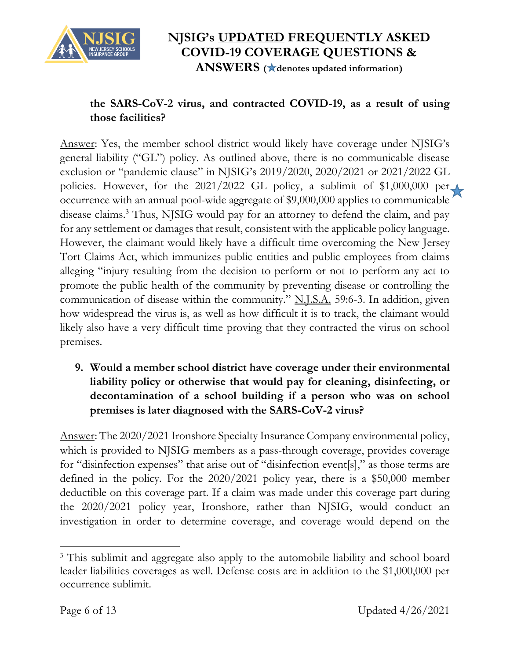

# **NJSIG's UPDATED FREQUENTLY ASKED COVID-19 COVERAGE QUESTIONS &**

**ANSWERS ( denotes updated information)**

## **the SARS-CoV-2 virus, and contracted COVID-19, as a result of using those facilities?**

Answer: Yes, the member school district would likely have coverage under NJSIG's general liability ("GL") policy. As outlined above, there is no communicable disease exclusion or "pandemic clause" in NJSIG's 2019/2020, 2020/2021 or 2021/2022 GL policies. However, for the 2021/2022 GL policy, a sublimit of \$1,000,000 per occurrence with an annual pool-wide aggregate of \$9,000,000 applies to communicable disease claims.<sup>3</sup> Thus, NJSIG would pay for an attorney to defend the claim, and pay for any settlement or damages that result, consistent with the applicable policy language. However, the claimant would likely have a difficult time overcoming the New Jersey Tort Claims Act, which immunizes public entities and public employees from claims alleging "injury resulting from the decision to perform or not to perform any act to promote the public health of the community by preventing disease or controlling the communication of disease within the community." N.J.S.A. 59:6-3. In addition, given how widespread the virus is, as well as how difficult it is to track, the claimant would likely also have a very difficult time proving that they contracted the virus on school premises.

## **9. Would a member school district have coverage under their environmental liability policy or otherwise that would pay for cleaning, disinfecting, or decontamination of a school building if a person who was on school premises is later diagnosed with the SARS-CoV-2 virus?**

Answer: The 2020/2021 Ironshore Specialty Insurance Company environmental policy, which is provided to NJSIG members as a pass-through coverage, provides coverage for "disinfection expenses" that arise out of "disinfection event[s]," as those terms are defined in the policy. For the 2020/2021 policy year, there is a \$50,000 member deductible on this coverage part. If a claim was made under this coverage part during the 2020/2021 policy year, Ironshore, rather than NJSIG, would conduct an investigation in order to determine coverage, and coverage would depend on the

 $\overline{\phantom{a}}$ <sup>3</sup> This sublimit and aggregate also apply to the automobile liability and school board leader liabilities coverages as well. Defense costs are in addition to the \$1,000,000 per occurrence sublimit.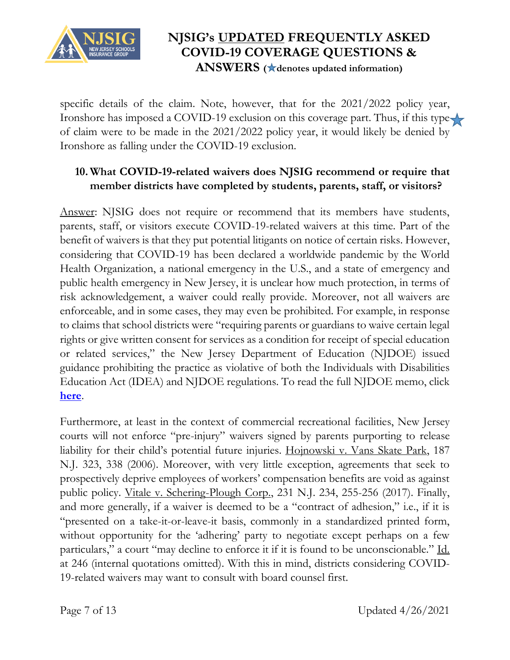

specific details of the claim. Note, however, that for the 2021/2022 policy year, Ironshore has imposed a COVID-19 exclusion on this coverage part. Thus, if this type of claim were to be made in the 2021/2022 policy year, it would likely be denied by Ironshore as falling under the COVID-19 exclusion.

## **10. What COVID-19-related waivers does NJSIG recommend or require that member districts have completed by students, parents, staff, or visitors?**

Answer: NJSIG does not require or recommend that its members have students, parents, staff, or visitors execute COVID-19-related waivers at this time. Part of the benefit of waivers is that they put potential litigants on notice of certain risks. However, considering that COVID-19 has been declared a worldwide pandemic by the World Health Organization, a national emergency in the U.S., and a state of emergency and public health emergency in New Jersey, it is unclear how much protection, in terms of risk acknowledgement, a waiver could really provide. Moreover, not all waivers are enforceable, and in some cases, they may even be prohibited. For example, in response to claims that school districts were "requiring parents or guardians to waive certain legal rights or give written consent for services as a condition for receipt of special education or related services," the New Jersey Department of Education (NJDOE) issued guidance prohibiting the practice as violative of both the Individuals with Disabilities Education Act (IDEA) and NJDOE regulations. To read the full NJDOE memo, click **[here](https://www.nj.gov/education/broadcasts/2020/apr/30/Parental%20Waivers%20for%20the%20Delivery%20of%20Remote%20or%20Virtual%20Special%20Education%20and%20Related%20Services.pdf)**.

Furthermore, at least in the context of commercial recreational facilities, New Jersey courts will not enforce "pre-injury" waivers signed by parents purporting to release liability for their child's potential future injuries. Hojnowski v. Vans Skate Park, 187 N.J. 323, 338 (2006). Moreover, with very little exception, agreements that seek to prospectively deprive employees of workers' compensation benefits are void as against public policy. Vitale v. Schering-Plough Corp., 231 N.J. 234, 255-256 (2017). Finally, and more generally, if a waiver is deemed to be a "contract of adhesion," i.e., if it is "presented on a take-it-or-leave-it basis, commonly in a standardized printed form, without opportunity for the 'adhering' party to negotiate except perhaps on a few particulars," a court "may decline to enforce it if it is found to be unconscionable." Id. at 246 (internal quotations omitted). With this in mind, districts considering COVID-19-related waivers may want to consult with board counsel first.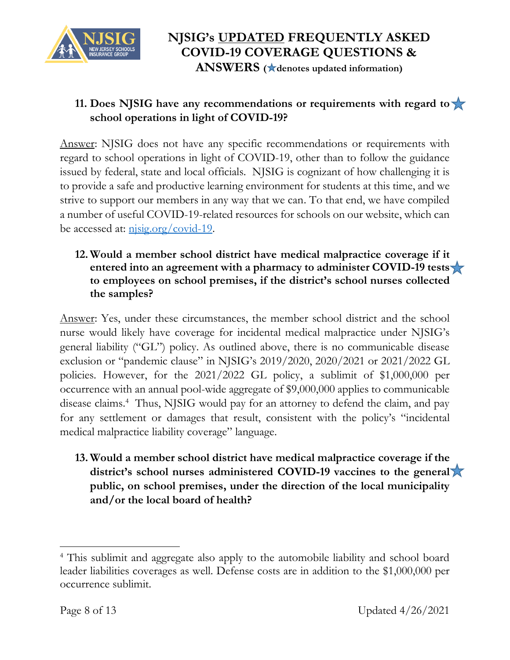

## **11. Does NJSIG have any recommendations or requirements with regard to school operations in light of COVID-19?**

Answer: NJSIG does not have any specific recommendations or requirements with regard to school operations in light of COVID-19, other than to follow the guidance issued by federal, state and local officials. NJSIG is cognizant of how challenging it is to provide a safe and productive learning environment for students at this time, and we strive to support our members in any way that we can. To that end, we have compiled a number of useful COVID-19-related resources for schools on our website, which can be accessed at:  $\frac{\text{nisig.org/covid-19}}{1}$ .

#### **12. Would a member school district have medical malpractice coverage if it entered into an agreement with a pharmacy to administer COVID-19 tests to employees on school premises, if the district's school nurses collected the samples?**

Answer: Yes, under these circumstances, the member school district and the school nurse would likely have coverage for incidental medical malpractice under NJSIG's general liability ("GL") policy. As outlined above, there is no communicable disease exclusion or "pandemic clause" in NJSIG's 2019/2020, 2020/2021 or 2021/2022 GL policies. However, for the 2021/2022 GL policy, a sublimit of \$1,000,000 per occurrence with an annual pool-wide aggregate of \$9,000,000 applies to communicable disease claims.<sup>4</sup> Thus, NJSIG would pay for an attorney to defend the claim, and pay for any settlement or damages that result, consistent with the policy's "incidental medical malpractice liability coverage" language.

**13. Would a member school district have medical malpractice coverage if the district's school nurses administered COVID-19 vaccines to the general public, on school premises, under the direction of the local municipality and/or the local board of health?** 

 $\overline{\phantom{a}}$ 

<sup>4</sup> This sublimit and aggregate also apply to the automobile liability and school board leader liabilities coverages as well. Defense costs are in addition to the \$1,000,000 per occurrence sublimit.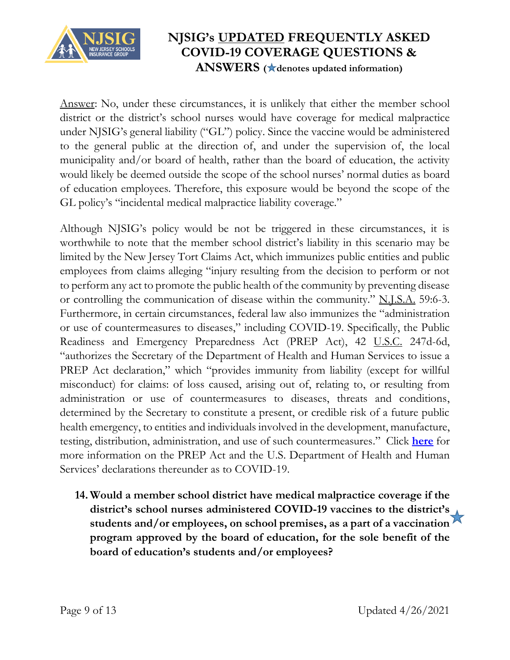

Answer: No, under these circumstances, it is unlikely that either the member school district or the district's school nurses would have coverage for medical malpractice under NJSIG's general liability ("GL") policy. Since the vaccine would be administered to the general public at the direction of, and under the supervision of, the local municipality and/or board of health, rather than the board of education, the activity would likely be deemed outside the scope of the school nurses' normal duties as board of education employees. Therefore, this exposure would be beyond the scope of the GL policy's "incidental medical malpractice liability coverage."

Although NJSIG's policy would be not be triggered in these circumstances, it is worthwhile to note that the member school district's liability in this scenario may be limited by the New Jersey Tort Claims Act, which immunizes public entities and public employees from claims alleging "injury resulting from the decision to perform or not to perform any act to promote the public health of the community by preventing disease or controlling the communication of disease within the community." N.J.S.A. 59:6-3. Furthermore, in certain circumstances, federal law also immunizes the "administration or use of countermeasures to diseases," including COVID-19. Specifically, the Public Readiness and Emergency Preparedness Act (PREP Act), 42 U.S.C. 247d-6d, "authorizes the Secretary of the Department of Health and Human Services to issue a PREP Act declaration," which "provides immunity from liability (except for willful misconduct) for claims: of loss caused, arising out of, relating to, or resulting from administration or use of countermeasures to diseases, threats and conditions, determined by the Secretary to constitute a present, or credible risk of a future public health emergency, to entities and individuals involved in the development, manufacture, testing, distribution, administration, and use of such countermeasures." Click **[here](https://www.phe.gov/Preparedness/legal/prepact/Pages/default.aspx)** for more information on the PREP Act and the U.S. Department of Health and Human Services' declarations thereunder as to COVID-19.

**14. Would a member school district have medical malpractice coverage if the district's school nurses administered COVID-19 vaccines to the district's students and/or employees, on school premises, as a part of a vaccination program approved by the board of education, for the sole benefit of the board of education's students and/or employees?**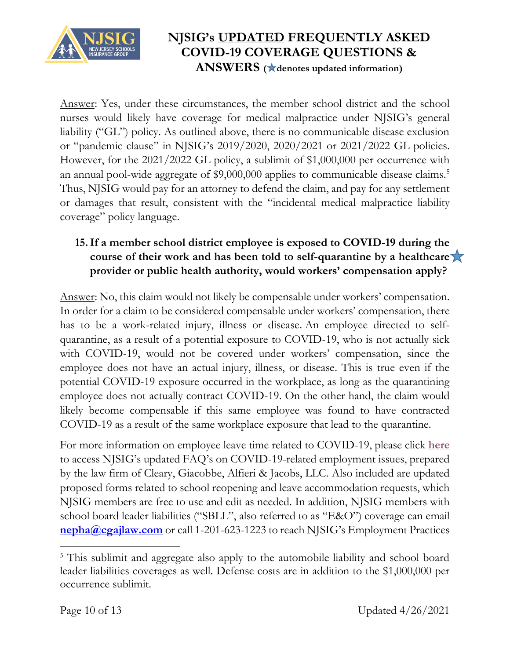

Answer: Yes, under these circumstances, the member school district and the school nurses would likely have coverage for medical malpractice under NJSIG's general liability ("GL") policy. As outlined above, there is no communicable disease exclusion or "pandemic clause" in NJSIG's 2019/2020, 2020/2021 or 2021/2022 GL policies. However, for the 2021/2022 GL policy, a sublimit of \$1,000,000 per occurrence with an annual pool-wide aggregate of \$9,000,000 applies to communicable disease claims.<sup>5</sup> Thus, NJSIG would pay for an attorney to defend the claim, and pay for any settlement or damages that result, consistent with the "incidental medical malpractice liability coverage" policy language.

## **15.If a member school district employee is exposed to COVID-19 during the course of their work and has been told to self-quarantine by a healthcare provider or public health authority, would workers' compensation apply?**

Answer: No, this claim would not likely be compensable under workers' compensation. In order for a claim to be considered compensable under workers' compensation, there has to be a work-related injury, illness or disease. An employee directed to selfquarantine, as a result of a potential exposure to COVID-19, who is not actually sick with COVID-19, would not be covered under workers' compensation, since the employee does not have an actual injury, illness, or disease. This is true even if the potential COVID-19 exposure occurred in the workplace, as long as the quarantining employee does not actually contract COVID-19. On the other hand, the claim would likely become compensable if this same employee was found to have contracted COVID-19 as a result of the same workplace exposure that lead to the quarantine.

For more information on employee leave time related to COVID-19, please click **[here](https://www.njsig.org/downloads/covid-19/Employment%20FAQs.pdf)** to access NJSIG's updated FAQ's on COVID-19-related employment issues, prepared by the law firm of Cleary, Giacobbe, Alfieri & Jacobs, LLC. Also included are updated proposed forms related to school reopening and leave accommodation requests, which NJSIG members are free to use and edit as needed. In addition, NJSIG members with school board leader liabilities ("SBLL", also referred to as "E&O") coverage can email **[nepha@cgajlaw.com](mailto:nepha@cgajlaw.com)** or call 1-201-623-1223 to reach NJSIG's Employment Practices

 $\overline{\phantom{a}}$ <sup>5</sup> This sublimit and aggregate also apply to the automobile liability and school board leader liabilities coverages as well. Defense costs are in addition to the \$1,000,000 per occurrence sublimit.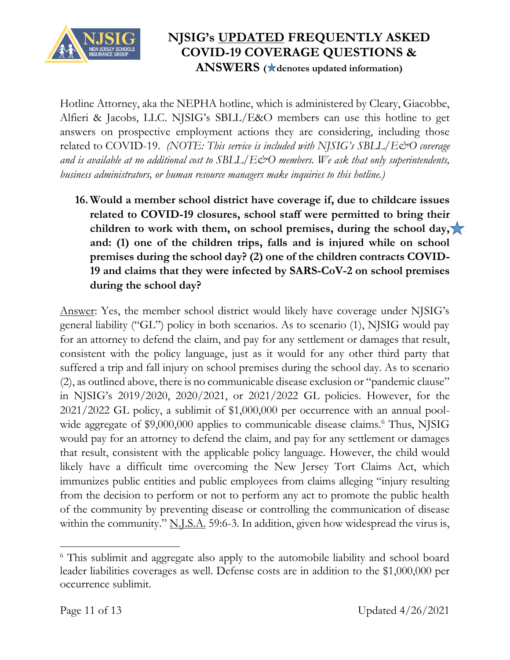

Hotline Attorney, aka the NEPHA hotline, which is administered by Cleary, Giacobbe, Alfieri & Jacobs, LLC. NJSIG's SBLL/E&O members can use this hotline to get answers on prospective employment actions they are considering, including those related to COVID-19. *(NOTE: This service is included with NJSIG's SBLL/E&O coverage and is available at no additional cost to SBLL/E&O members. We ask that only superintendents, business administrators, or human resource managers make inquiries to this hotline.)*

**16. Would a member school district have coverage if, due to childcare issues related to COVID-19 closures, school staff were permitted to bring their children to work with them, on school premises, during the school day, and: (1) one of the children trips, falls and is injured while on school premises during the school day? (2) one of the children contracts COVID-19 and claims that they were infected by SARS-CoV-2 on school premises during the school day?**

Answer: Yes, the member school district would likely have coverage under NJSIG's general liability ("GL") policy in both scenarios. As to scenario (1), NJSIG would pay for an attorney to defend the claim, and pay for any settlement or damages that result, consistent with the policy language, just as it would for any other third party that suffered a trip and fall injury on school premises during the school day. As to scenario (2), as outlined above, there is no communicable disease exclusion or "pandemic clause" in NJSIG's 2019/2020, 2020/2021, or 2021/2022 GL policies. However, for the 2021/2022 GL policy, a sublimit of \$1,000,000 per occurrence with an annual poolwide aggregate of \$9,000,000 applies to communicable disease claims.<sup>6</sup> Thus, NJSIG would pay for an attorney to defend the claim, and pay for any settlement or damages that result, consistent with the applicable policy language. However, the child would likely have a difficult time overcoming the New Jersey Tort Claims Act, which immunizes public entities and public employees from claims alleging "injury resulting from the decision to perform or not to perform any act to promote the public health of the community by preventing disease or controlling the communication of disease within the community." N.J.S.A. 59:6-3. In addition, given how widespread the virus is,

 $\overline{\phantom{a}}$ <sup>6</sup> This sublimit and aggregate also apply to the automobile liability and school board leader liabilities coverages as well. Defense costs are in addition to the \$1,000,000 per occurrence sublimit.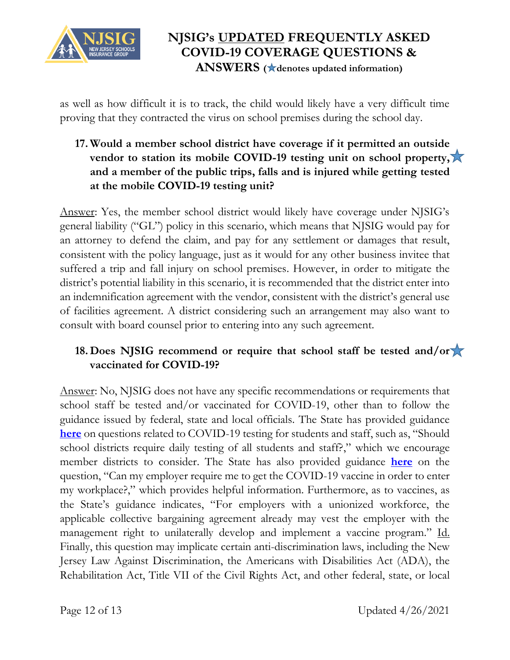

as well as how difficult it is to track, the child would likely have a very difficult time proving that they contracted the virus on school premises during the school day.

## **17. Would a member school district have coverage if it permitted an outside vendor to station its mobile COVID-19 testing unit on school property, and a member of the public trips, falls and is injured while getting tested at the mobile COVID-19 testing unit?**

Answer: Yes, the member school district would likely have coverage under NJSIG's general liability ("GL") policy in this scenario, which means that NJSIG would pay for an attorney to defend the claim, and pay for any settlement or damages that result, consistent with the policy language, just as it would for any other business invitee that suffered a trip and fall injury on school premises. However, in order to mitigate the district's potential liability in this scenario, it is recommended that the district enter into an indemnification agreement with the vendor, consistent with the district's general use of facilities agreement. A district considering such an arrangement may also want to consult with board counsel prior to entering into any such agreement.

## **18. Does NJSIG recommend or require that school staff be tested and/or vaccinated for COVID-19?**

Answer: No, NJSIG does not have any specific recommendations or requirements that school staff be tested and/or vaccinated for COVID-19, other than to follow the guidance issued by federal, state and local officials. The State has provided guidance **[here](https://www.nj.gov/education/reopening/faqs/#screen)** on questions related to COVID-19 testing for students and staff, such as, "Should school districts require daily testing of all students and staff?," which we encourage member districts to consider. The State has also provided guidance **[here](https://covid19.nj.gov/faqs/nj-information/reopening-guidance-and-restrictions/can-my-employer-require-me-to-get-the-covid-19-vaccine-in-order-to-enter-my-workplace)** on the question, "Can my employer require me to get the COVID-19 vaccine in order to enter my workplace?," which provides helpful information. Furthermore, as to vaccines, as the State's guidance indicates, "For employers with a unionized workforce, the applicable collective bargaining agreement already may vest the employer with the management right to unilaterally develop and implement a vaccine program." Id. Finally, this question may implicate certain anti-discrimination laws, including the New Jersey Law Against Discrimination, the Americans with Disabilities Act (ADA), the Rehabilitation Act, Title VII of the Civil Rights Act, and other federal, state, or local